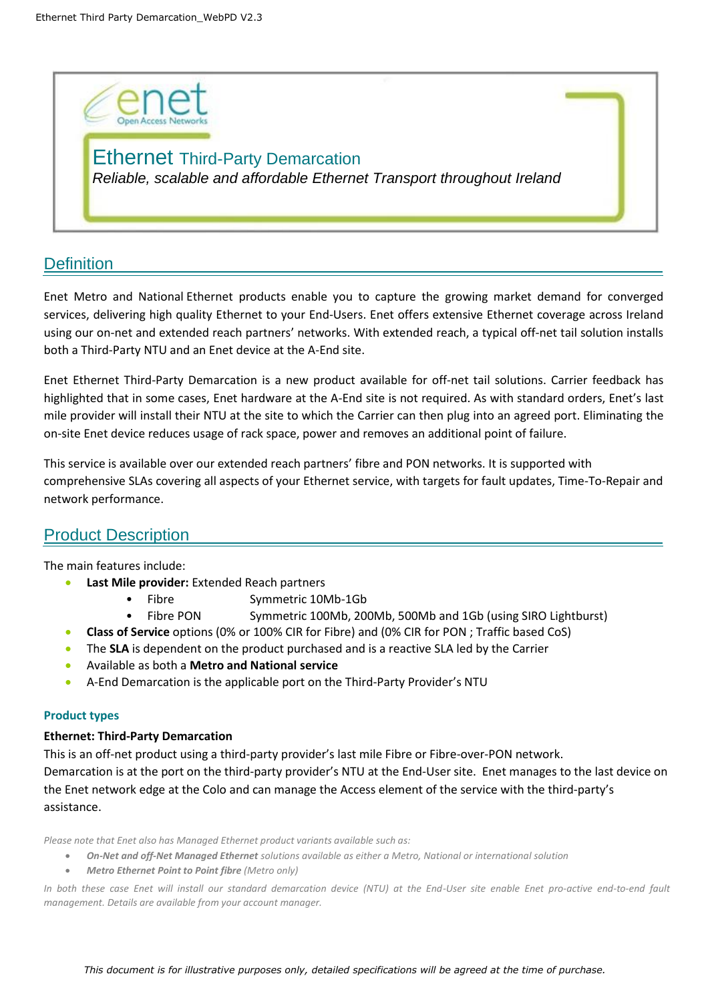

Ethernet Third-Party Demarcation *Reliable, scalable and affordable Ethernet Transport throughout Ireland*

# **Definition**

Enet Metro and National Ethernet products enable you to capture the growing market demand for converged services, delivering high quality Ethernet to your End-Users. Enet offers extensive Ethernet coverage across Ireland using our on-net and extended reach partners' networks. With extended reach, a typical off-net tail solution installs both a Third-Party NTU and an Enet device at the A-End site.

Enet Ethernet Third-Party Demarcation is a new product available for off-net tail solutions. Carrier feedback has highlighted that in some cases, Enet hardware at the A-End site is not required. As with standard orders, Enet's last mile provider will install their NTU at the site to which the Carrier can then plug into an agreed port. Eliminating the on-site Enet device reduces usage of rack space, power and removes an additional point of failure.

This service is available over our extended reach partners' fibre and PON networks. It is supported with comprehensive SLAs covering all aspects of your Ethernet service, with targets for fault updates, Time-To-Repair and network performance.

# Product Description

The main features include:

- **Last Mile provider:** Extended Reach partners
	- Fibre Symmetric 10Mb-1Gb
	- Fibre PON Symmetric 100Mb, 200Mb, 500Mb and 1Gb (using SIRO Lightburst)
- **Class of Service** options (0% or 100% CIR for Fibre) and (0% CIR for PON ; Traffic based CoS)
- The **SLA** is dependent on the product purchased and is a reactive SLA led by the Carrier
- Available as both a **Metro and National service**
- A-End Demarcation is the applicable port on the Third-Party Provider's NTU

#### **Product types**

#### **Ethernet: Third-Party Demarcation**

This is an off-net product using a third-party provider's last mile Fibre or Fibre-over-PON network.

Demarcation is at the port on the third-party provider's NTU at the End-User site. Enet manages to the last device on the Enet network edge at the Colo and can manage the Access element of the service with the third-party's assistance.

*Please note that Enet also has Managed Ethernet product variants available such as:*

- *On-Net and off-Net Managed Ethernet solutions available as either a Metro, National or international solution*
- *Metro Ethernet Point to Point fibre (Metro only)*

*In both these case Enet will install our standard demarcation device (NTU) at the End-User site enable Enet pro-active end-to-end fault management. Details are available from your account manager.*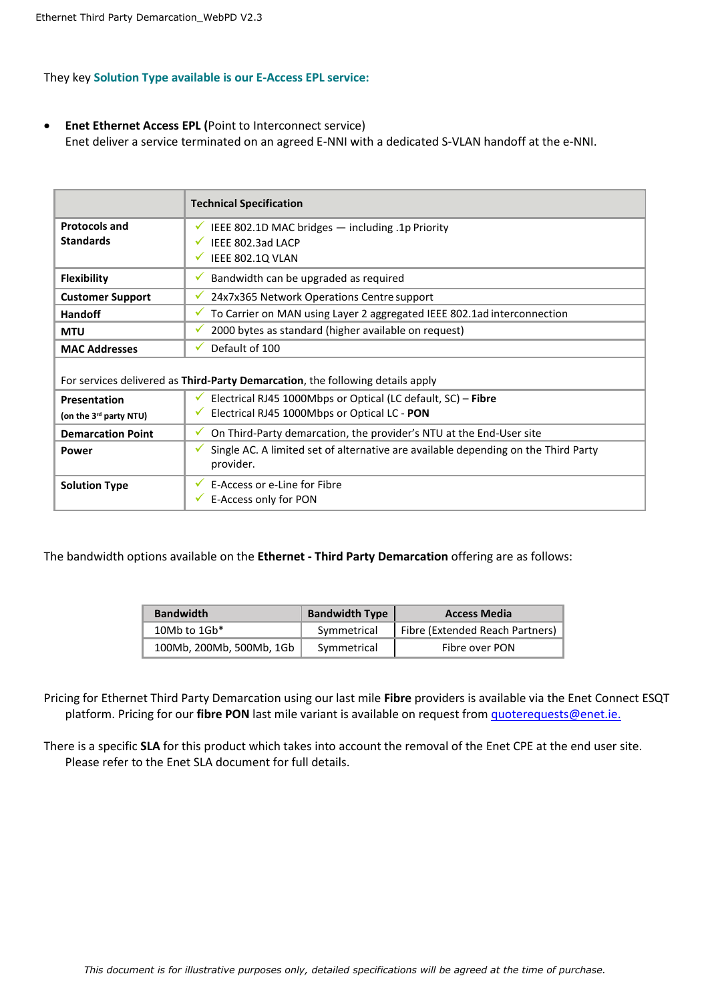#### They key **Solution Type available is our E-Access EPL service:**

• **Enet Ethernet Access EPL (**Point to Interconnect service) Enet deliver a service terminated on an agreed E-NNI with a dedicated S-VLAN handoff at the e-NNI.

|                                                                                | <b>Technical Specification</b>                                                                               |  |  |
|--------------------------------------------------------------------------------|--------------------------------------------------------------------------------------------------------------|--|--|
| <b>Protocols and</b><br><b>Standards</b>                                       | V IEEE 802.1D MAC bridges $-$ including .1p Priority<br>IEEE 802.3ad LACP<br>✔<br>IEEE 802.10 VLAN           |  |  |
| <b>Flexibility</b>                                                             | Bandwidth can be upgraded as required<br>v.                                                                  |  |  |
| <b>Customer Support</b>                                                        | 24x7x365 Network Operations Centre support<br>v                                                              |  |  |
| <b>Handoff</b>                                                                 | $\checkmark$ To Carrier on MAN using Layer 2 aggregated IEEE 802.1ad interconnection                         |  |  |
| <b>MTU</b>                                                                     | 2000 bytes as standard (higher available on request)<br>V                                                    |  |  |
| <b>MAC Addresses</b>                                                           | Default of 100<br>✔                                                                                          |  |  |
| For services delivered as Third-Party Demarcation, the following details apply |                                                                                                              |  |  |
| Presentation<br>(on the 3 <sup>rd</sup> party NTU)                             | Electrical RJ45 1000Mbps or Optical (LC default, SC) – Fibre<br>Electrical RJ45 1000Mbps or Optical LC - PON |  |  |
| <b>Demarcation Point</b>                                                       | On Third-Party demarcation, the provider's NTU at the End-User site<br>v.                                    |  |  |
| Power                                                                          | Single AC. A limited set of alternative are available depending on the Third Party<br>v<br>provider.         |  |  |
| <b>Solution Type</b>                                                           | E-Access or e-Line for Fibre<br>v<br>E-Access only for PON                                                   |  |  |

The bandwidth options available on the **Ethernet - Third Party Demarcation** offering are as follows:

| <b>Bandwidth</b>         | <b>Bandwidth Type</b> | <b>Access Media</b>             |
|--------------------------|-----------------------|---------------------------------|
| 10Mb to $1\text{Gb*}$    | Symmetrical           | Fibre (Extended Reach Partners) |
| 100Mb, 200Mb, 500Mb, 1Gb | Symmetrical           | Fibre over PON                  |

Pricing for Ethernet Third Party Demarcation using our last mile **Fibre** providers is available via the Enet Connect ESQT platform. Pricing for our **fibre PON** last mile variant is available on request fro[m quoterequests@enet.ie.](mailto:quoterequests@enet.ie)

There is a specific **SLA** for this product which takes into account the removal of the Enet CPE at the end user site. Please refer to the Enet SLA document for full details.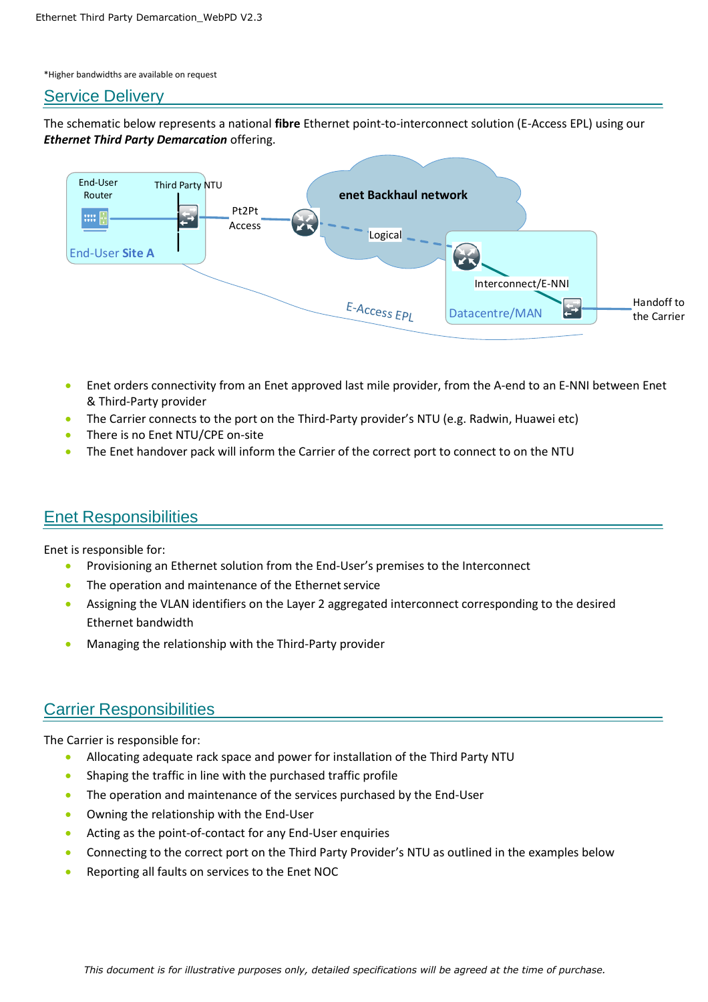\*Higher bandwidths are available on request

### Service Delivery

The schematic below represents a national **fibre** Ethernet point-to-interconnect solution (E-Access EPL) using our *Ethernet Third Party Demarcation* offering.



- Enet orders connectivity from an Enet approved last mile provider, from the A-end to an E-NNI between Enet & Third-Party provider
- The Carrier connects to the port on the Third-Party provider's NTU (e.g. Radwin, Huawei etc)
- There is no Enet NTU/CPE on-site
- The Enet handover pack will inform the Carrier of the correct port to connect to on the NTU

# Enet Responsibilities

Enet is responsible for:

- Provisioning an Ethernet solution from the End-User's premises to the Interconnect
- The operation and maintenance of the Ethernet service
- Assigning the VLAN identifiers on the Layer 2 aggregated interconnect corresponding to the desired Ethernet bandwidth
- Managing the relationship with the Third-Party provider

### Carrier Responsibilities

The Carrier is responsible for:

- Allocating adequate rack space and power for installation of the Third Party NTU
- Shaping the traffic in line with the purchased traffic profile
- The operation and maintenance of the services purchased by the End-User
- Owning the relationship with the End-User
- Acting as the point-of-contact for any End-User enquiries
- Connecting to the correct port on the Third Party Provider's NTU as outlined in the examples below
- Reporting all faults on services to the Enet NOC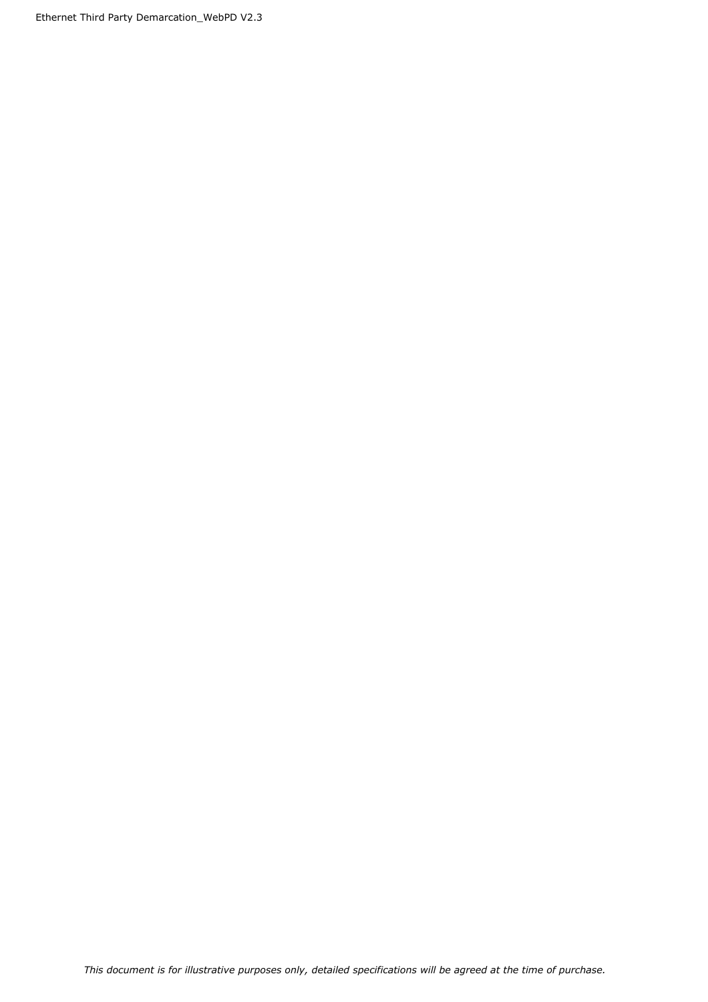Ethernet Third Party Demarcation\_WebPD V2.3